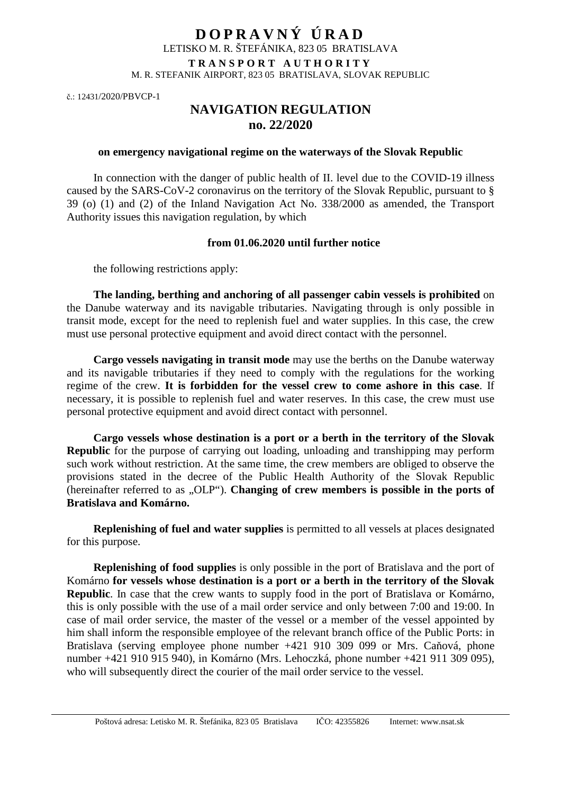## **D O P R A V N Ý Ú R A D**  LETISKO M. R. ŠTEFÁNIKA, 823 05 BRATISLAVA **T R A N S P O R T A U T H O R I T Y**  M. R. STEFANIK AIRPORT, 823 05 BRATISLAVA, SLOVAK REPUBLIC

č.: 12431/2020/PBVCP-1

## **NAVIGATION REGULATION no. 22/2020**

## **on emergency navigational regime on the waterways of the Slovak Republic**

In connection with the danger of public health of II. level due to the COVID-19 illness caused by the SARS-CoV-2 coronavirus on the territory of the Slovak Republic, pursuant to § 39 (o) (1) and (2) of the Inland Navigation Act No. 338/2000 as amended, the Transport Authority issues this navigation regulation, by which

## **from 01.06.2020 until further notice**

the following restrictions apply:

**The landing, berthing and anchoring of all passenger cabin vessels is prohibited** on the Danube waterway and its navigable tributaries. Navigating through is only possible in transit mode, except for the need to replenish fuel and water supplies. In this case, the crew must use personal protective equipment and avoid direct contact with the personnel.

**Cargo vessels navigating in transit mode** may use the berths on the Danube waterway and its navigable tributaries if they need to comply with the regulations for the working regime of the crew. **It is forbidden for the vessel crew to come ashore in this case**. If necessary, it is possible to replenish fuel and water reserves. In this case, the crew must use personal protective equipment and avoid direct contact with personnel.

**Cargo vessels whose destination is a port or a berth in the territory of the Slovak Republic** for the purpose of carrying out loading, unloading and transhipping may perform such work without restriction. At the same time, the crew members are obliged to observe the provisions stated in the decree of the Public Health Authority of the Slovak Republic (hereinafter referred to as ...OLP<sup>")</sup>. **Changing of crew members is possible in the ports of Bratislava and Komárno.**

**Replenishing of fuel and water supplies** is permitted to all vessels at places designated for this purpose.

**Replenishing of food supplies** is only possible in the port of Bratislava and the port of Komárno **for vessels whose destination is a port or a berth in the territory of the Slovak Republic**. In case that the crew wants to supply food in the port of Bratislava or Komárno, this is only possible with the use of a mail order service and only between 7:00 and 19:00. In case of mail order service, the master of the vessel or a member of the vessel appointed by him shall inform the responsible employee of the relevant branch office of the Public Ports: in Bratislava (serving employee phone number +421 910 309 099 or Mrs. Caňová, phone number +421 910 915 940), in Komárno (Mrs. Lehoczká, phone number +421 911 309 095), who will subsequently direct the courier of the mail order service to the vessel.